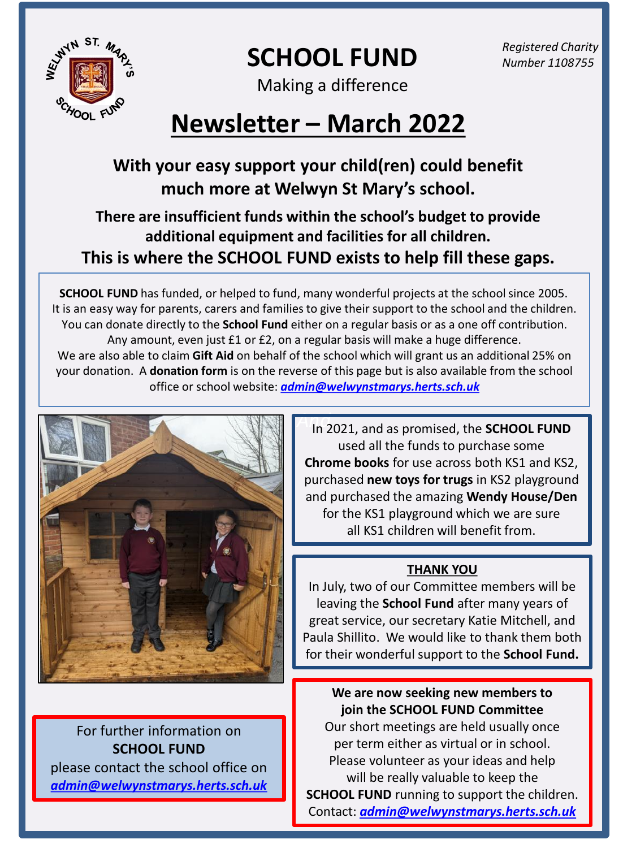

**SCHOOL FUND** 

*Registered Charity Number 1108755* 

Making a difference

# **Newsletter – March 2022**

## **With your easy support your child(ren) could benefit much more at Welwyn St Mary's school.**

### **There are insufficient funds within the school's budget to provide additional equipment and facilities for all children. This is where the SCHOOL FUND exists to help fill these gaps.**

**SCHOOL FUND** has funded, or helped to fund, many wonderful projects at the school since 2005. It is an easy way for parents, carers and families to give their support to the school and the children. You can donate directly to the **School Fund** either on a regular basis or as a one off contribution. Any amount, even just £1 or £2, on a regular basis will make a huge difference. We are also able to claim **Gift Aid** on behalf of the school which will grant us an additional 25% on your donation. A **donation form** is on the reverse of this page but is also available from the school office or school website: *[admin@welwynstmarys.herts.sch.uk](mailto:admin@welwynstmarys.herts.sch.uk)*



For further information on **SCHOOL FUND** please contact the school office on *[admin@welwynstmarys.herts.sch.uk](mailto:admin@welwynstmarys.herts.sch.uk)* *And*  In 2021, and as promised, the **SCHOOL FUND**  used all the funds to purchase some **Chrome books** for use across both KS1 and KS2, purchased **new toys for trugs** in KS2 playground and purchased the amazing **Wendy House/Den** for the KS1 playground which we are sure all KS1 children will benefit from.

#### **THANK YOU**

In July, two of our Committee members will be leaving the **School Fund** after many years of great service, our secretary Katie Mitchell, and Paula Shillito. We would like to thank them both for their wonderful support to the **School Fund.** 

**We are now seeking new members to join the SCHOOL FUND Committee** 

Our short meetings are held usually once per term either as virtual or in school. Please volunteer as your ideas and help will be really valuable to keep the **SCHOOL FUND** running to support the children. Contact: *[admin@welwynstmarys.herts.sch.uk](mailto:admin@welwynstmarys.herts.sch.uk)*